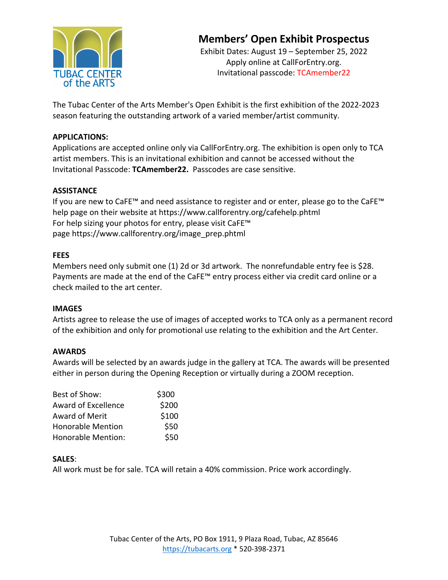

Exhibit Dates: August 19 – September 25, 2022 Apply online at CallForEntry.org. Invitational passcode: TCAmember22

The Tubac Center of the Arts Member's Open Exhibit is the first exhibition of the 2022-2023 season featuring the outstanding artwork of a varied member/artist community.

#### **APPLICATIONS:**

Applications are accepted online only via CallForEntry.org. The exhibition is open only to TCA artist members. This is an invitational exhibition and cannot be accessed without the Invitational Passcode: **TCAmember22.** Passcodes are case sensitive.

### **ASSISTANCE**

If you are new to CaFE™ and need assistance to register and or enter, please go to the CaFE™ help page on their website at https://www.callforentry.org/cafehelp.phtml For help sizing your photos for entry, please visit CaFE™ page https://www.callforentry.org/image\_prep.phtml

### **FEES**

Members need only submit one (1) 2d or 3d artwork. The nonrefundable entry fee is \$28. Payments are made at the end of the CaFE™ entry process either via credit card online or a check mailed to the art center.

#### **IMAGES**

Artists agree to release the use of images of accepted works to TCA only as a permanent record of the exhibition and only for promotional use relating to the exhibition and the Art Center.

#### **AWARDS**

Awards will be selected by an awards judge in the gallery at TCA. The awards will be presented either in person during the Opening Reception or virtually during a ZOOM reception.

| Best of Show:             | \$300 |
|---------------------------|-------|
| Award of Excellence       | \$200 |
| <b>Award of Merit</b>     | \$100 |
| <b>Honorable Mention</b>  | \$50  |
| <b>Honorable Mention:</b> | \$50  |

### **SALES**:

All work must be for sale. TCA will retain a 40% commission. Price work accordingly.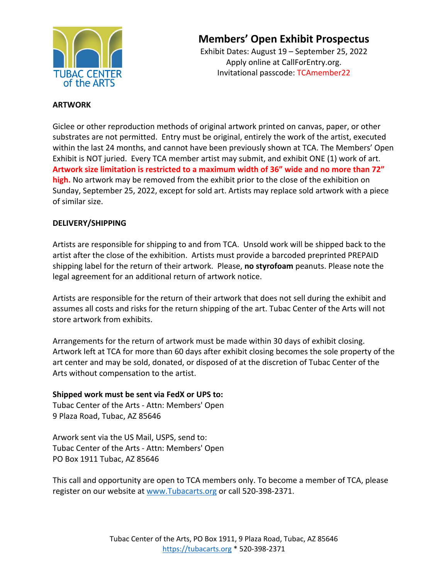

Exhibit Dates: August 19 – September 25, 2022 Apply online at CallForEntry.org. Invitational passcode: TCAmember22

#### **ARTWORK**

Giclee or other reproduction methods of original artwork printed on canvas, paper, or other substrates are not permitted. Entry must be original, entirely the work of the artist, executed within the last 24 months, and cannot have been previously shown at TCA. The Members' Open Exhibit is NOT juried. Every TCA member artist may submit, and exhibit ONE (1) work of art. **Artwork size limitation is restricted to a maximum width of 36" wide and no more than 72" high.** No artwork may be removed from the exhibit prior to the close of the exhibition on Sunday, September 25, 2022, except for sold art. Artists may replace sold artwork with a piece of similar size.

#### **DELIVERY/SHIPPING**

Artists are responsible for shipping to and from TCA. Unsold work will be shipped back to the artist after the close of the exhibition. Artists must provide a barcoded preprinted PREPAID shipping label for the return of their artwork. Please, **no styrofoam** peanuts. Please note the legal agreement for an additional return of artwork notice.

Artists are responsible for the return of their artwork that does not sell during the exhibit and assumes all costs and risks for the return shipping of the art. Tubac Center of the Arts will not store artwork from exhibits.

Arrangements for the return of artwork must be made within 30 days of exhibit closing. Artwork left at TCA for more than 60 days after exhibit closing becomes the sole property of the art center and may be sold, donated, or disposed of at the discretion of Tubac Center of the Arts without compensation to the artist.

#### **Shipped work must be sent via FedX or UPS to:**

Tubac Center of the Arts - Attn: Members' Open 9 Plaza Road, Tubac, AZ 85646

Arwork sent via the US Mail, USPS, send to: Tubac Center of the Arts - Attn: Members' Open PO Box 1911 Tubac, AZ 85646

This call and opportunity are open to TCA members only. To become a member of TCA, please register on our website at www.Tubacarts.org or call 520-398-2371.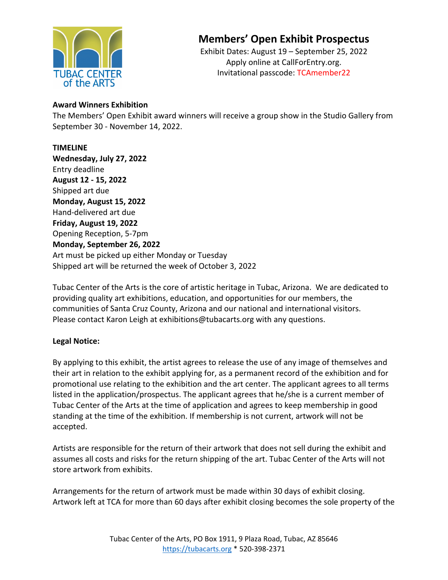

Exhibit Dates: August 19 – September 25, 2022 Apply online at CallForEntry.org. Invitational passcode: TCAmember22

#### **Award Winners Exhibition**

The Members' Open Exhibit award winners will receive a group show in the Studio Gallery from September 30 - November 14, 2022.

#### **TIMELINE**

**Wednesday, July 27, 2022** Entry deadline **August 12 - 15, 2022** Shipped art due **Monday, August 15, 2022** Hand-delivered art due **Friday, August 19, 2022** Opening Reception, 5-7pm **Monday, September 26, 2022** Art must be picked up either Monday or Tuesday Shipped art will be returned the week of October 3, 2022

Tubac Center of the Arts is the core of artistic heritage in Tubac, Arizona. We are dedicated to providing quality art exhibitions, education, and opportunities for our members, the communities of Santa Cruz County, Arizona and our national and international visitors. Please contact Karon Leigh at exhibitions@tubacarts.org with any questions.

### **Legal Notice:**

By applying to this exhibit, the artist agrees to release the use of any image of themselves and their art in relation to the exhibit applying for, as a permanent record of the exhibition and for promotional use relating to the exhibition and the art center. The applicant agrees to all terms listed in the application/prospectus. The applicant agrees that he/she is a current member of Tubac Center of the Arts at the time of application and agrees to keep membership in good standing at the time of the exhibition. If membership is not current, artwork will not be accepted.

Artists are responsible for the return of their artwork that does not sell during the exhibit and assumes all costs and risks for the return shipping of the art. Tubac Center of the Arts will not store artwork from exhibits.

Arrangements for the return of artwork must be made within 30 days of exhibit closing. Artwork left at TCA for more than 60 days after exhibit closing becomes the sole property of the